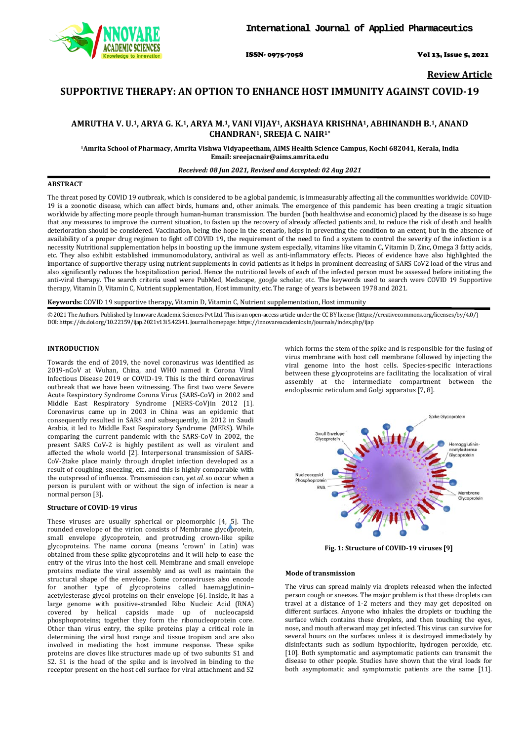

ISSN- 0975-7058 Vol 13, Issue 5, 2021

**Review Article**

# **SUPPORTIVE THERAPY: AN OPTION TO ENHANCE HOST IMMUNITY AGAINST COVID-19**

# AMRUTHA V. U.<sup>1</sup>, ARYA G. K.<sup>1</sup>, ARYA M.<sup>1</sup>, VANI VIJAY<sup>1</sup>, AKSHAYA KRISHNA<sup>1</sup>, ABHINANDH B.<sup>1</sup>, ANAND **CHANDRAN1, SREEJA C. NAIR1\***

**1Amrita School of Pharmacy, Amrita Vishwa Vidyapeetham, AIMS Health Science Campus, Kochi 682041, Kerala, India Email[: sreejacnair@aims.amrita.edu](mailto:sreejacnair@aims.amrita.edu)**

#### *Received: 08 Jun 2021, Revised and Accepted: 02 Aug 2021*

#### **ABSTRACT**

The threat posed by COVID 19 outbreak, which is considered to be a global pandemic, is immeasurably affecting all the communities worldwide. COVID-19 is a zoonotic disease, which can affect birds, humans and, other animals. The emergence of this pandemic has been creating a tragic situation worldwide by affecting more people through human-human transmission. The burden (both healthwise and economic) placed by the disease is so huge that any measures to improve the current situation, to fasten up the recovery of already affected patients and, to reduce the risk of death and health deterioration should be considered. Vaccination, being the hope in the scenario, helps in preventing the condition to an extent, but in the absence of availability of a proper drug regimen to fight off COVID 19, the requirement of the need to find a system to control the severity of the infection is a necessity Nutritional supplementation helps in boosting up the immune system especially, vitamins like vitamin C, Vitamin D, Zinc, Omega 3 fatty acids, etc. They also exhibit established immunomodulatory, antiviral as well as anti-inflammatory effects. Pieces of evidence have also highlighted the importance of supportive therapy using nutrient supplements in covid patients as it helps in prominent decreasing of SARS CoV2 load of the virus and also significantly reduces the hospitalization period. Hence the nutritional levels of each of the infected person must be assessed before initiating the anti-viral therapy. The search criteria used were PubMed, Medscape, google scholar, etc. The keywords used to search were COVID 19 Supportive therapy, Vitamin D, Vitamin C, Nutrient supplementation, Host immunity, etc. The range of years is between 1978 and 2021.

**Keywords:** COVID 19 supportive therapy, Vitamin D, Vitamin C, Nutrient supplementation, Host immunity

© 2021 The Authors. Published by Innovare Academic Sciences Pvt Ltd. This is an open-access article under the CC BY license [\(https://creativecommons.org/licenses/by/4.0/\)](https://creativecommons.org/licenses/by/4.0/) DOI: https://dx.doi.org/10.22159/ijap.2021v13i5.42341. Journal homepage[: https://innovareacademics.in/journals/index.php/ijap](https://innovareacademics.in/journals/index.php/ijap)

## **INTRODUCTION**

Towards the end of 2019, the novel coronavirus was identified as 2019-nCoV at Wuhan, China, and WHO named it Corona Viral Infectious Disease 2019 or COVID-19. This is the third coronavirus outbreak that we have been witnessing. The first two were Severe Acute Respiratory Syndrome Corona Virus (SARS-CoV) in 2002 and Middle East Respiratory Syndrome (MERS-CoV)in 2012 [1]. Coronavirus came up in 2003 in China was an epidemic that consequently resulted in SARS and subsequently, in 2012 in Saudi Arabia, it led to Middle East Respiratory Syndrome (MERS). While comparing the current pandemic with the SARS-CoV in 2002, the present SARS CoV-2 is highly pestilent as well as virulent and affected the whole world [2]. Interpersonal transmission of SARS-CoV-2take place mainly through droplet infection developed as a result of coughing, sneezing, etc. and this is highly comparable with the outspread of influenza. Transmission can, y*et al.* so occur when a person is purulent with or without the sign of infection is near a normal person [3].

### **Structure of COVID-19 virus**

These viruses are usually spherical or pleomorphic [4, 5]. The rounded envelope of the virion consists of Membrane glycoprotein, small envelope glycoprotein, and protruding crown-like spike glycoproteins. The name corona (means 'crown' in Latin) was obtained from these spike glycoproteins and it will help to ease the entry of the virus into the host cell. Membrane and small envelope proteins mediate the viral assembly and as well as maintain the structural shape of the envelope. Some coronaviruses also encode for another type of glycoproteins called haemagglutinin– acetylesterase glycol proteins on their envelope [6]. Inside, it has a large genome with positive-stranded Ribo Nucleic Acid (RNA) covered by helical capsids made up of nucleocapsid phosphoproteins; together they form the ribonucleoprotein core. Other than virus entry, the spike proteins play a critical role in determining the viral host range and tissue tropism and are also involved in mediating the host immune response. These spike proteins are cloves like structures made up of two subunits S1 and S2. S1 is the head of the spike and is involved in binding to the receptor present on the host cell surface for viral attachment and S2 which forms the stem of the spike and is responsible for the fusing of virus membrane with host cell membrane followed by injecting the viral genome into the host cells. Species-specific interactions between these glycoproteins are facilitating the localization of viral assembly at the intermediate compartment between the endoplasmic reticulum and Golgi apparatus [7, 8].



**Fig. 1: Structure of COVID-19 viruses [9]**

#### **Mode of transmission**

The virus can spread mainly via droplets released when the infected person cough or sneezes. The major problem is that these droplets can travel at a distance of 1-2 meters and they may get deposited on different surfaces. Anyone who inhales the droplets or touching the surface which contains these droplets, and then touching the eyes, nose, and mouth afterward may get infected. This virus can survive for several hours on the surfaces unless it is destroyed immediately by disinfectants such as sodium hypochlorite, hydrogen peroxide, etc. [10]. Both symptomatic and asymptomatic patients can transmit the disease to other people. Studies have shown that the viral loads for both asymptomatic and symptomatic patients are the same [11].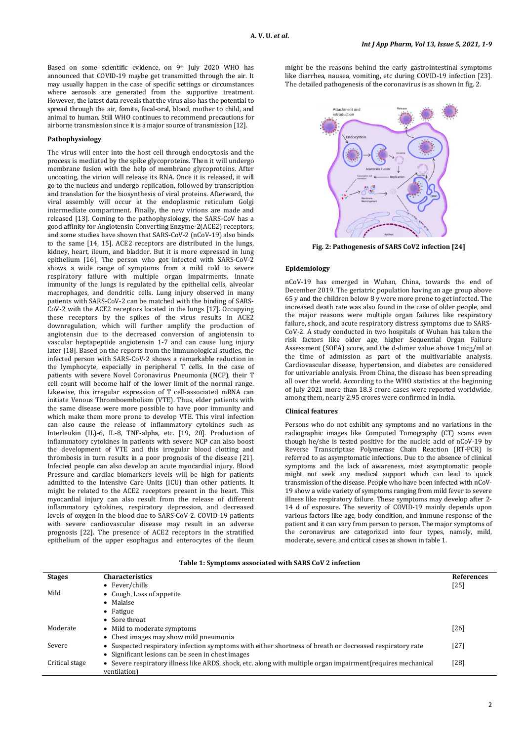Based on some scientific evidence, on 9<sup>th</sup> July 2020 WHO has announced that COVID-19 maybe get transmitted through the air. It may usually happen in the case of specific settings or circumstances where aerosols are generated from the supportive treatment. However, the latest data reveals that the virus also has the potential to spread through the air, fomite, fecal-oral, blood, mother to child, and animal to human. Still WHO continues to recommend precautions for airborne transmission since it is a major source of transmission [12].

## **Pathophysiology**

The virus will enter into the host cell through endocytosis and the process is mediated by the spike glycoproteins. Then it will undergo membrane fusion with the help of membrane glycoproteins. After uncoating, the virion will release its RNA. Once it is released, it will go to the nucleus and undergo replication, followed by transcription and translation for the biosynthesis of viral proteins. Afterward, the viral assembly will occur at the endoplasmic reticulum Golgi intermediate compartment. Finally, the new virions are made and released [13]. Coming to the pathophysiology, the SARS-CoV has a good affinity for Angiotensin Converting Enzyme-2(ACE2) receptors, and some studies have shown that SARS-CoV-2 (nCoV-19) also binds to the same [14, 15]. ACE2 receptors are distributed in the lungs, kidney, heart, ileum, and bladder. But it is more expressed in lung epithelium [16]. The person who got infected with SARS-CoV-2 shows a wide range of symptoms from a mild cold to severe respiratory failure with multiple organ impairments. Innate immunity of the lungs is regulated by the epithelial cells, alveolar macrophages, and dendritic cells. Lung injury observed in many patients with SARS-CoV-2 can be matched with the binding of SARS-CoV-2 with the ACE2 receptors located in the lungs [17]. Occupying these receptors by the spikes of the virus results in ACE2 downregulation, which will further amplify the production of angiotensin due to the decreased conversion of angiotensin to vascular heptapeptide angiotensin 1-7 and can cause lung injury later [18]. Based on the reports from the immunological studies, the infected person with SARS-CoV-2 shows a remarkable reduction in the lymphocyte, especially in peripheral T cells. In the case of patients with severe Novel Coronavirus Pneumonia (NCP), their T cell count will become half of the lower limit of the normal range. Likewise, this irregular expression of T cell-associated mRNA can initiate Venous Thromboembolism (VTE). Thus, elder patients with the same disease were more possible to have poor immunity and which make them more prone to develop VTE. This viral infection can also cause the release of inflammatory cytokines such as Interleukin (IL)-6, IL-8, TNF-alpha, etc. [19, 20]. Production of inflammatory cytokines in patients with severe NCP can also boost the development of VTE and this irregular blood clotting and thrombosis in turn results in a poor prognosis of the disease [21]. Infected people can also develop an acute myocardial injury. Blood Pressure and cardiac biomarkers levels will be high for patients admitted to the Intensive Care Units (ICU) than other patients. It might be related to the ACE2 receptors present in the heart. This myocardial injury can also result from the release of different inflammatory cytokines, respiratory depression, and decreased levels of oxygen in the blood due to SARS-CoV-2. COVID-19 patients with severe cardiovascular disease may result in an adverse prognosis [22]. The presence of ACE2 receptors in the stratified epithelium of the upper esophagus and enterocytes of the ileum

might be the reasons behind the early gastrointestinal symptoms like diarrhea, nausea, vomiting, etc during COVID-19 infection [23]. The detailed pathogenesis of the coronavirus is as shown in fig. 2.



**Fig. 2: Pathogenesis of SARS CoV2 infection [24]**

### **Epidemiology**

nCoV-19 has emerged in Wuhan, China, towards the end of December 2019. The geriatric population having an age group above 65 y and the children below 8 y were more prone to get infected. The increased death rate was also found in the case of older people, and the major reasons were multiple organ failures like respiratory failure, shock, and acute respiratory distress symptoms due to SARS-CoV-2. A study conducted in two hospitals of Wuhan has taken the risk factors like older age, higher Sequential Organ Failure Assessment (SOFA) score, and the d-dimer value above 1mcg/ml at the time of admission as part of the multivariable analysis. Cardiovascular disease, hypertension, and diabetes are considered for univariable analysis. From China, the disease has been spreading all over the world. According to the WHO statistics at the beginning of July 2021 more than 18.3 crore cases were reported worldwide, among them, nearly 2.95 crores were confirmed in India.

## **Clinical features**

Persons who do not exhibit any symptoms and no variations in the radiographic images like Computed Tomography (CT) scans even though he/she is tested positive for the nucleic acid of nCoV-19 by Reverse Transcriptase Polymerase Chain Reaction (RT-PCR) is referred to as asymptomatic infections. Due to the absence of clinical symptoms and the lack of awareness, most asymptomatic people might not seek any medical support which can lead to quick transmission of the disease. People who have been infected with nCoV-19 show a wide variety of symptoms ranging from mild fever to severe illness like respiratory failure. These symptoms may develop after 2- 14 d of exposure. The severity of COVID-19 mainly depends upon various factors like age, body condition, and immune response of the patient and it can vary from person to person. The major symptoms of the coronavirus are categorized into four types, namely, mild, moderate, severe, and critical cases as shown in table 1.

|  |  |  |  |  | Table 1: Symptoms associated with SARS CoV 2 infection |  |
|--|--|--|--|--|--------------------------------------------------------|--|
|  |  |  |  |  |                                                        |  |

| <b>Stages</b>  | <b>Characteristics</b>                                                                                                   | <b>References</b> |
|----------------|--------------------------------------------------------------------------------------------------------------------------|-------------------|
|                | • Fever/chills                                                                                                           | $[25]$            |
| Mild           | • Cough, Loss of appetite                                                                                                |                   |
|                | • Malaise                                                                                                                |                   |
|                | $\bullet$ Fatigue                                                                                                        |                   |
|                | • Sore throat                                                                                                            |                   |
| Moderate       | • Mild to moderate symptoms                                                                                              | $[26]$            |
|                | • Chest images may show mild pneumonia                                                                                   |                   |
| Severe         | • Suspected respiratory infection symptoms with either shortness of breath or decreased respiratory rate                 | $[27]$            |
|                | Significant lesions can be seen in chest images<br>٠                                                                     |                   |
| Critical stage | Severe respiratory illness like ARDS, shock, etc. along with multiple organ impairment (requires mechanical<br>$\bullet$ | [28]              |
|                | ventilation)                                                                                                             |                   |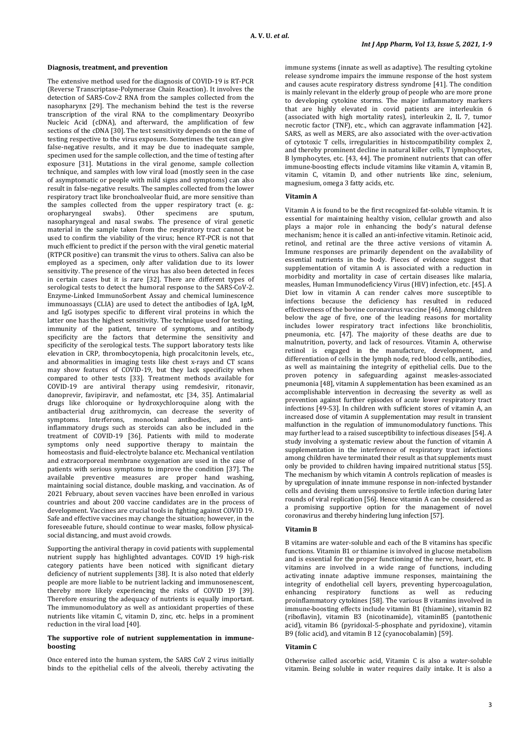## **Diagnosis, treatment, and prevention**

The extensive method used for the diagnosis of COVID-19 is RT-PCR (Reverse Transcriptase-Polymerase Chain Reaction). It involves the detection of SARS-Cov-2 RNA from the samples collected from the nasopharynx [29]. The mechanism behind the test is the reverse transcription of the viral RNA to the complimentary Deoxyribo Nucleic Acid (cDNA), and afterward, the amplification of few sections of the cDNA [30]. The test sensitivity depends on the time of testing respective to the virus exposure. Sometimes the test can give false-negative results, and it may be due to inadequate sample, specimen used for the sample collection, and the time of testing after exposure [31]. Mutations in the viral genome, sample collection technique, and samples with low viral load (mostly seen in the case of asymptomatic or people with mild signs and symptoms) can also result in false-negative results. The samples collected from the lower respiratory tract like bronchoalveolar fluid, are more sensitive than the samples collected from the upper respiratory tract (e. g.: oropharyngeal swabs). Other specimens are sputum, nasopharyngeal and nasal swabs. The presence of viral genetic material in the sample taken from the respiratory tract cannot be used to confirm the viability of the virus; hence RT-PCR is not that much efficient to predict if the person with the viral genetic material (RTPCR positive) can transmit the virus to others. Saliva can also be employed as a specimen, only after validation due to its lower sensitivity. The presence of the virus has also been detected in feces in certain cases but it is rare [32]. There are different types of serological tests to detect the humoral response to the SARS-CoV-2. Enzyme-Linked ImmunoSorbent Assay and chemical luminescence immunoassays (CLIA) are used to detect the antibodies of IgA, IgM, and IgG isotypes specific to different viral proteins in which the latter one has the highest sensitivity. The technique used for testing, immunity of the patient, tenure of symptoms, and antibody specificity are the factors that determine the sensitivity and specificity of the serological tests. The support laboratory tests like elevation in CRP, thrombocytopenia, high procalcitonin levels, etc., and abnormalities in imaging tests like chest x-rays and CT scans may show features of COVID-19, but they lack specificity when compared to other tests [33]. Treatment methods available for COVID-19 are antiviral therapy using remdesivir, ritonavir, danoprevir, favipiravir, and nefamostat, etc [34, 35]. Antimalarial drugs like chloroquine or hydroxychloroquine along with the antibacterial drug azithromycin, can decrease the severity of symptoms. Interferons, monoclonal antibodies, inflammatory drugs such as steroids can also be included in the treatment of COVID-19 [36]. Patients with mild to moderate symptoms only need supportive therapy to maintain the homeostasis and fluid-electrolyte balance etc. Mechanical ventilation and extracorporeal membrane oxygenation are used in the case of patients with serious symptoms to improve the condition [37]. The available preventive measures are proper hand washing, maintaining social distance, double masking, and vaccination. As of 2021 February, about seven vaccines have been enrolled in various countries and about 200 vaccine candidates are in the process of development. Vaccines are crucial tools in fighting against COVID 19. Safe and effective vaccines may change the situation; however, in the foreseeable future, should continue to wear masks, follow physicalsocial distancing, and must avoid crowds.

Supporting the antiviral therapy in covid patients with supplemental nutrient supply has highlighted advantages. COVID 19 high-risk category patients have been noticed with significant dietary deficiency of nutrient supplements [38]. It is also noted that elderly people are more liable to be nutrient lacking and immunosenescent, thereby more likely experiencing the risks of COVID 19 [39]. Therefore ensuring the adequacy of nutrients is equally important. The immunomodulatory as well as antioxidant properties of these nutrients like vitamin C, vitamin D, zinc, etc. helps in a prominent reduction in the viral load [40].

### **The supportive role of nutrient supplementation in immuneboosting**

Once entered into the human system, the SARS CoV 2 virus initially binds to the epithelial cells of the alveoli, thereby activating the immune systems (innate as well as adaptive). The resulting cytokine release syndrome impairs the immune response of the host system and causes acute respiratory distress syndrome [41]. The condition is mainly relevant in the elderly group of people who are more prone to developing cytokine storms. The major inflammatory markers that are highly elevated in covid patients are interleukin 6 (associated with high mortality rates), interleukin 2, IL 7, tumor necrotic factor (TNF), etc., which can aggravate inflammation [42]. SARS, as well as MERS, are also associated with the over-activation of cytotoxic T cells, irregularities in histocompatibility complex 2, and thereby prominent decline in natural killer cells, T lymphocytes, B lymphocytes, etc. [43, 44]. The prominent nutrients that can offer immune-boosting effects include vitamins like vitamin A, vitamin B, vitamin C, vitamin D, and other nutrients like zinc, selenium, magnesium, omega 3 fatty acids, etc.

#### **Vitamin A**

Vitamin A is found to be the first recognized fat-soluble vitamin. It is essential for maintaining healthy vision, cellular growth and also plays a major role in enhancing the body's natural defense mechanism; hence it is called an anti-infective vitamin. Retinoic acid, retinol, and retinal are the three active versions of vitamin A. Immune responses are primarily dependent on the availability of essential nutrients in the body. Pieces of evidence suggest that supplementation of vitamin A is associated with a reduction in morbidity and mortality in case of certain diseases like malaria, measles, Human Immunodeficiency Virus (HIV) infection, etc. [45]. A Diet low in vitamin A can render calves more susceptible to infections because the deficiency has resulted in reduced effectiveness of the bovine coronavirus vaccine [46]. Among children below the age of five, one of the leading reasons for mortality includes lower respiratory tract infections like bronchiolitis, pneumonia, etc. [47]. The majority of these deaths are due to malnutrition, poverty, and lack of resources. Vitamin A, otherwise retinol is engaged in the manufacture, development, and differentiation of cells in the lymph node, red blood cells, antibodies, as well as maintaining the integrity of epithelial cells. Due to the proven potency in safeguarding against measles-associated pneumonia [48], vitamin A supplementation has been examined as an accomplishable intervention in decreasing the severity as well as prevention against further episodes of acute lower respiratory tract infections [49-53]. In children with sufficient stores of vitamin A, an increased dose of vitamin A supplementation may result in transient malfunction in the regulation of immunomodulatory functions. This may further lead to a raised susceptibility to infectious diseases [54]. A study involving a systematic review about the function of vitamin A supplementation in the interference of respiratory tract infections among children have terminated their result as that supplements must only be provided to children having impaired nutritional status [55]. The mechanism by which vitamin A controls replication of measles is by upregulation of innate immune response in non-infected bystander cells and devising them unresponsive to fertile infection during later rounds of viral replication [56]. Hence vitamin A can be considered as a promising supportive option for the management of novel coronavirus and thereby hindering lung infection [57].

#### **Vitamin B**

B vitamins are water-soluble and each of the B vitamins has specific functions. Vitamin B1 or thiamine is involved in glucose metabolism and is essential for the proper functioning of the nerve, heart, etc. B vitamins are involved in a wide range of functions, including activating innate adaptive immune responses, maintaining the integrity of endothelial cell layers, preventing hypercoagulation, enhancing respiratory functions as well as reducing enhancing respiratory functions as well as proinflammatory cytokines [58]. The various B vitamins involved in immune-boosting effects include vitamin B1 (thiamine), vitamin B2 (riboflavin), vitamin B3 (nicotinamide), vitaminB5 (pantothenic acid), vitamin B6 (pyridoxal-5-phosphate and pyridoxine), vitamin B9 (folic acid), and vitamin B 12 (cyanocobalamin) [59].

#### **Vitamin C**

Otherwise called ascorbic acid, Vitamin C is also a water-soluble vitamin. Being soluble in water requires daily intake. It is also a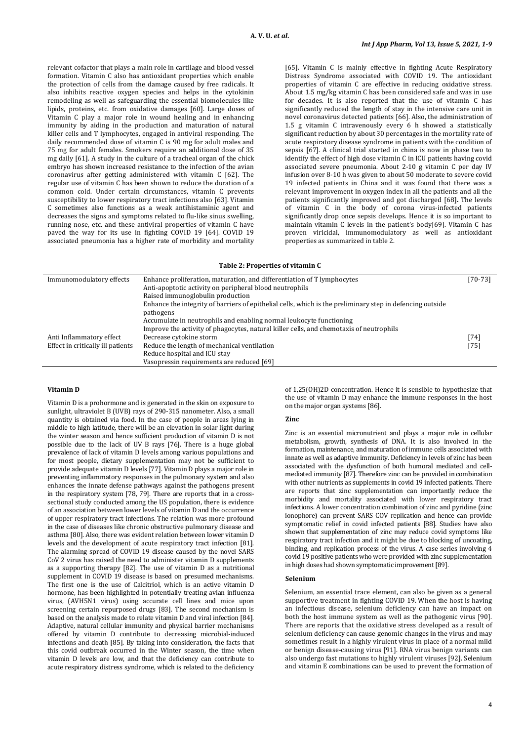relevant cofactor that plays a main role in cartilage and blood vessel formation. Vitamin C also has antioxidant properties which enable the protection of cells from the damage caused by free radicals. It also inhibits reactive oxygen species and helps in the cytokinin remodeling as well as safeguarding the essential biomolecules like lipids, proteins, etc. from oxidative damages [60]. Large doses of Vitamin C play a major role in wound healing and in enhancing immunity by aiding in the production and maturation of natural killer cells and T lymphocytes, engaged in antiviral responding. The daily recommended dose of vitamin C is 90 mg for adult males and 75 mg for adult females. Smokers require an additional dose of 35 mg daily [61]. A study in the culture of a tracheal organ of the chick embryo has shown increased resistance to the infection of the avian coronavirus after getting administered with vitamin C [62]. The regular use of vitamin C has been shown to reduce the duration of a common cold. Under certain circumstances, vitamin C prevents susceptibility to lower respiratory tract infections also [63]. Vitamin C sometimes also functions as a weak antihistaminic agent and decreases the signs and symptoms related to flu-like sinus swelling, running nose, etc. and these antiviral properties of vitamin C have paved the way for its use in fighting COVID 19 [64]. COVID 19 associated pneumonia has a higher rate of morbidity and mortality [65]. Vitamin C is mainly effective in fighting Acute Respiratory Distress Syndrome associated with COVID 19. The antioxidant properties of vitamin C are effective in reducing oxidative stress. About 1.5 mg/kg vitamin C has been considered safe and was in use for decades. It is also reported that the use of vitamin C has significantly reduced the length of stay in the intensive care unit in novel coronavirus detected patients [66]. Also, the administration of 1.5 g vitamin C intravenously every 6 h showed a statistically significant reduction by about 30 percentages in the mortality rate of acute respiratory disease syndrome in patients with the condition of sepsis [67]. A clinical trial started in china is now in phase two to identify the effect of high dose vitamin C in ICU patients having covid associated severe pneumonia. About 2-10 g vitamin C per day IV infusion over 8-10 h was given to about 50 moderate to severe covid 19 infected patients in China and it was found that there was a relevant improvement in oxygen index in all the patients and all the patients significantly improved and got discharged [68]**.** The levels of vitamin C in the body of corona virus-infected patients significantly drop once sepsis develops. Hence it is so important to maintain vitamin C levels in the patient's body[69]. Vitamin C has proven viricidal, immunomodulatory as well as antioxidant properties as summarized in table 2.

#### **Table 2: Properties of vitamin C**

| Immunomodulatory effects          | Enhance proliferation, maturation, and differentiation of T lymphocytes                                   | [70-73] |
|-----------------------------------|-----------------------------------------------------------------------------------------------------------|---------|
|                                   | Anti-apoptotic activity on peripheral blood neutrophils                                                   |         |
|                                   | Raised immunoglobulin production                                                                          |         |
|                                   | Enhance the integrity of barriers of epithelial cells, which is the preliminary step in defencing outside |         |
|                                   | pathogens                                                                                                 |         |
|                                   | Accumulate in neutrophils and enabling normal leukocyte functioning                                       |         |
|                                   | Improve the activity of phagocytes, natural killer cells, and chemotaxis of neutrophils                   |         |
| Anti Inflammatory effect          | Decrease cytokine storm                                                                                   | [74]    |
| Effect in critically ill patients | Reduce the length of mechanical ventilation                                                               | [75]    |
|                                   | Reduce hospital and ICU stay                                                                              |         |
|                                   | Vasopressin requirements are reduced [69]                                                                 |         |

#### **Vitamin D**

Vitamin D is a prohormone and is generated in the skin on exposure to sunlight, ultraviolet B (UVB) rays of 290-315 nanometer. Also, a small quantity is obtained via food. In the case of people in areas lying in middle to high latitude, there will be an elevation in solar light during the winter season and hence sufficient production of vitamin D is not possible due to the lack of UV B rays [76]. There is a huge global prevalence of lack of vitamin D levels among various populations and for most people, dietary supplementation may not be sufficient to provide adequate vitamin D levels [77]. Vitamin D plays a major role in preventing inflammatory responses in the pulmonary system and also enhances the innate defense pathways against the pathogens present in the respiratory system [78, 79]. There are reports that in a crosssectional study conducted among the US population, there is evidence of an association between lower levels of vitamin D and the occurrence of upper respiratory tract infections. The relation was more profound in the case of diseases like chronic obstructive pulmonary disease and asthma [80]. Also, there was evident relation between lower vitamin D levels and the development of acute respiratory tract infection [81]. The alarming spread of COVID 19 disease caused by the novel SARS CoV 2 virus has raised the need to administer vitamin D supplements as a supporting therapy [82]. The use of vitamin D as a nutritional supplement in COVID 19 disease is based on presumed mechanisms. The first one is the use of Calcitriol, which is an active vitamin D hormone, has been highlighted in potentially treating avian influenza virus, (AVH5N1 virus) using accurate cell lines and mice upon screening certain repurposed drugs [83]. The second mechanism is based on the analysis made to relate vitamin D and viral infection [84]. Adaptive, natural cellular immunity and physical barrier mechanisms offered by vitamin D contribute to decreasing microbial-induced infections and death [85]. By taking into consideration, the facts that this covid outbreak occurred in the Winter season, the time when vitamin D levels are low, and that the deficiency can contribute to acute respiratory distress syndrome, which is related to the deficiency

of 1,25(OH)2D concentration. Hence it is sensible to hypothesize that the use of vitamin D may enhance the immune responses in the host on the major organ systems [86].

## **Zinc**

Zinc is an essential micronutrient and plays a major role in cellular metabolism, growth, synthesis of DNA. It is also involved in the formation, maintenance, and maturation of immune cells associated with innate as well as adaptive immunity. Deficiency in levels of zinc has been associated with the dysfunction of both humoral mediated and cellmediated immunity [87]. Therefore zinc can be provided in combination with other nutrients as supplements in covid 19 infected patients. There are reports that zinc supplementation can importantly reduce the morbidity and mortality associated with lower respiratory tract infections. A lower concentration combination of zinc and pyridine (zinc ionophore) can prevent SARS COV replication and hence can provide symptomatic relief in covid infected patients [88]. Studies have also shown that supplementation of zinc may reduce covid symptoms like respiratory tract infection and it might be due to blocking of uncoating, binding, and replication process of the virus. A case series involving 4 covid 19 positive patients who were provided with zinc supplementation in high doses had shown symptomatic improvement [89].

#### **Selenium**

Selenium, an essential trace element, can also be given as a general supportive treatment in fighting COVID 19. When the host is having an infectious disease, selenium deficiency can have an impact on both the host immune system as well as the pathogenic virus [90]. There are reports that the oxidative stress developed as a result of selenium deficiency can cause genomic changes in the virus and may sometimes result in a highly virulent virus in place of a normal mild or benign disease-causing virus [91]. RNA virus benign variants can also undergo fast mutations to highly virulent viruses [92]. Selenium and vitamin E combinations can be used to prevent the formation of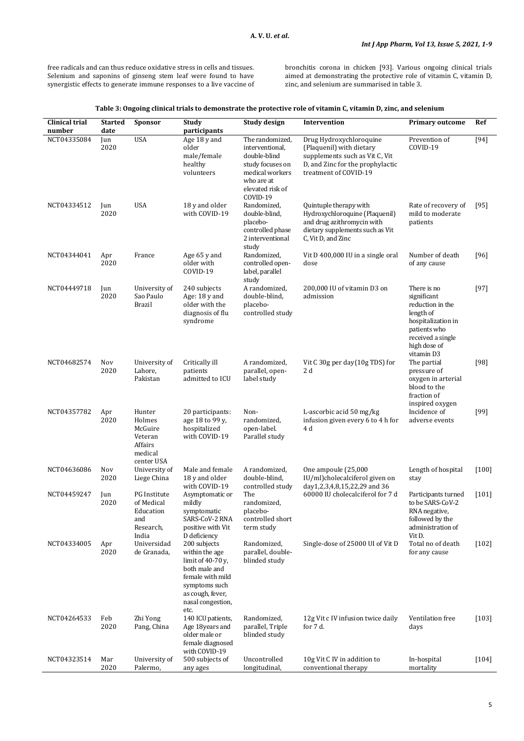free radicals and can thus reduce oxidative stress in cells and tissues. Selenium and saponins of ginseng stem leaf were found to have synergistic effects to generate immune responses to a live vaccine of bronchitis corona in chicken [93]. Various ongoing clinical trials aimed at demonstrating the protective role of vitamin C, vitamin D, zinc, and selenium are summarised in table 3.

| Clinical trial<br>number | <b>Started</b><br>date | Sponsor                                                                    | Study<br>participants                                                                                                                                      | Study design                                                                                                                            | Intervention                                                                                                                                       | <b>Primary outcome</b>                                                                                                                               | Ref     |
|--------------------------|------------------------|----------------------------------------------------------------------------|------------------------------------------------------------------------------------------------------------------------------------------------------------|-----------------------------------------------------------------------------------------------------------------------------------------|----------------------------------------------------------------------------------------------------------------------------------------------------|------------------------------------------------------------------------------------------------------------------------------------------------------|---------|
| NCT04335084              | Jun<br>2020            | <b>USA</b>                                                                 | Age 18 y and<br>older<br>male/female<br>healthy<br>volunteers                                                                                              | The randomized,<br>interventional,<br>double-blind<br>study focuses on<br>medical workers<br>who are at<br>elevated risk of<br>COVID-19 | Drug Hydroxychloroquine<br>(Plaquenil) with dietary<br>supplements such as Vit C, Vit<br>D, and Zinc for the prophylactic<br>treatment of COVID-19 | Prevention of<br>COVID-19                                                                                                                            | $[94]$  |
| NCT04334512              | Jun<br>2020            | <b>USA</b>                                                                 | 18 y and older<br>with COVID-19                                                                                                                            | Randomized,<br>double-blind,<br>placebo-<br>controlled phase<br>2 interventional<br>study                                               | Quintuple therapy with<br>Hydroxychloroquine (Plaquenil)<br>and drug azithromycin with<br>dietary supplements such as Vit<br>C, Vit D, and Zinc    | Rate of recovery of<br>mild to moderate<br>patients                                                                                                  | [95]    |
| NCT04344041              | Apr<br>2020            | France                                                                     | Age 65 y and<br>older with<br>COVID-19                                                                                                                     | Randomized,<br>controlled open-<br>label, parallel<br>study                                                                             | Vit D 400,000 IU in a single oral<br>dose                                                                                                          | Number of death<br>of any cause                                                                                                                      | $[96]$  |
| NCT04449718              | Jun<br>2020            | University of<br>Sao Paulo<br><b>Brazil</b>                                | 240 subjects<br>Age: 18 y and<br>older with the<br>diagnosis of flu<br>syndrome                                                                            | A randomized,<br>double-blind,<br>placebo-<br>controlled study                                                                          | 200.000 IU of vitamin D3 on<br>admission                                                                                                           | There is no<br>significant<br>reduction in the<br>length of<br>hospitalization in<br>patients who<br>received a single<br>high dose of<br>vitamin D3 | [97]    |
| NCT04682574              | Nov<br>2020            | University of<br>Lahore,<br>Pakistan                                       | Critically ill<br>patients<br>admitted to ICU                                                                                                              | A randomized,<br>parallel, open-<br>label study                                                                                         | Vit C 30g per day(10g TDS) for<br>2 d                                                                                                              | The partial<br>pressure of<br>oxygen in arterial<br>blood to the<br>fraction of<br>inspired oxygen                                                   | [98]    |
| NCT04357782              | Apr<br>2020            | Hunter<br>Holmes<br>McGuire<br>Veteran<br>Affairs<br>medical<br>center USA | 20 participants:<br>age 18 to 99 y,<br>hospitalized<br>with COVID-19                                                                                       | Non-<br>randomized,<br>open-label.<br>Parallel study                                                                                    | L-ascorbic acid 50 mg/kg<br>infusion given every 6 to 4 h for<br>4 d                                                                               | Incidence of<br>adverse events                                                                                                                       | $[99]$  |
| NCT04636086              | Nov<br>2020            | University of<br>Liege China                                               | Male and female<br>18 y and older<br>with COVID-19                                                                                                         | A randomized,<br>double-blind,<br>controlled study                                                                                      | One ampoule (25,000<br>IU/ml)cholecalciferol given on<br>day1,2,3,4,8,15,22,29 and 36                                                              | Length of hospital<br>stay                                                                                                                           | $[100]$ |
| NCT04459247              | Jun<br>2020            | PG Institute<br>of Medical<br>Education<br>and<br>Research,<br>India       | Asymptomatic or<br>mildly<br>symptomatic<br>SARS-CoV-2 RNA<br>positive with Vit<br>D deficiency                                                            | The<br>randomized,<br>placebo-<br>controlled short<br>term study                                                                        | 60000 IU cholecalciferol for 7 d                                                                                                                   | Participants turned<br>to be SARS-CoV-2<br>RNA negative,<br>followed by the<br>administration of<br>Vit D.                                           | $[101]$ |
| NCT04334005              | Apr<br>2020            | Universidad<br>de Granada,                                                 | 200 subjects<br>within the age<br>limit of 40-70 y,<br>both male and<br>female with mild<br>symptoms such<br>as cough, fever,<br>nasal congestion,<br>etc. | Randomized,<br>parallel, double-<br>blinded study                                                                                       | Single-dose of 25000 UI of Vit D                                                                                                                   | Total no of death<br>for any cause                                                                                                                   | $[102]$ |
| NCT04264533              | Feb<br>2020            | Zhi Yong<br>Pang, China                                                    | 140 ICU patients,<br>Age 18years and<br>older male or<br>female diagnosed<br>with COVID-19                                                                 | Randomized,<br>parallel, Triple<br>blinded study                                                                                        | 12g Vit c IV infusion twice daily<br>for 7 d.                                                                                                      | Ventilation free<br>days                                                                                                                             | $[103]$ |
| NCT04323514              | Mar<br>2020            | University of<br>Palermo,                                                  | 500 subjects of<br>any ages                                                                                                                                | Uncontrolled<br>longitudinal,                                                                                                           | 10g Vit C IV in addition to<br>conventional therapy                                                                                                | In-hospital<br>mortality                                                                                                                             | $[104]$ |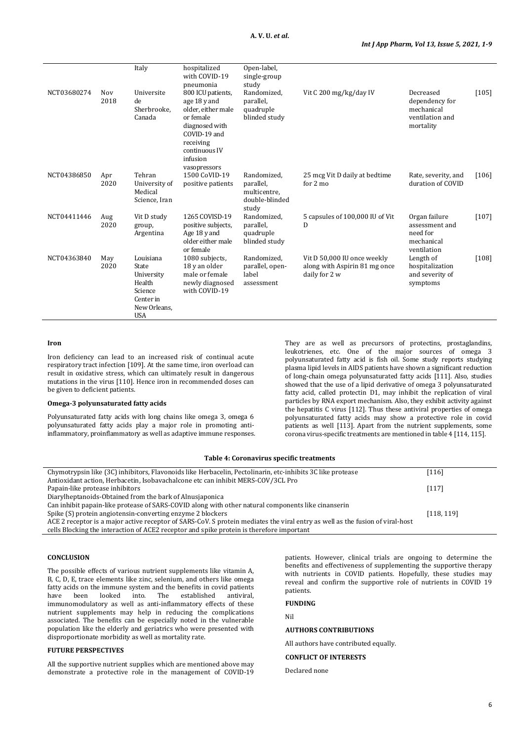|             |             | Italy                                                                                            | hospitalized<br>with COVID-19<br>pneumonia                                                                                                                       | Open-label,<br>single-group<br>study                                |                                                                               |                                                                           |         |
|-------------|-------------|--------------------------------------------------------------------------------------------------|------------------------------------------------------------------------------------------------------------------------------------------------------------------|---------------------------------------------------------------------|-------------------------------------------------------------------------------|---------------------------------------------------------------------------|---------|
| NCT03680274 | Nov<br>2018 | Universite<br>de<br>Sherbrooke.<br>Canada                                                        | 800 ICU patients,<br>age 18 y and<br>older, either male<br>or female<br>diagnosed with<br>COVID-19 and<br>receiving<br>continuous IV<br>infusion<br>vasopressors | Randomized,<br>parallel,<br>quadruple<br>blinded study              | Vit C 200 mg/kg/day IV                                                        | Decreased<br>dependency for<br>mechanical<br>ventilation and<br>mortality | $[105]$ |
| NCT04386850 | Apr<br>2020 | Tehran<br>University of<br>Medical<br>Science, Iran                                              | 1500 CoVID-19<br>positive patients                                                                                                                               | Randomized.<br>parallel,<br>multicentre,<br>double-blinded<br>study | 25 mcg Vit D daily at bedtime<br>for $2 \text{ mo}$                           | Rate, severity, and<br>duration of COVID                                  | $[106]$ |
| NCT04411446 | Aug<br>2020 | Vit D study<br>group,<br>Argentina                                                               | 1265 COVISD-19<br>positive subjects,<br>Age 18 y and<br>older either male<br>or female                                                                           | Randomized.<br>parallel,<br>quadruple<br>blinded study              | 5 capsules of 100,000 IU of Vit<br>D                                          | Organ failure<br>assessment and<br>need for<br>mechanical<br>ventilation  | $[107]$ |
| NCT04363840 | May<br>2020 | Louisiana<br>State<br>University<br>Health<br>Science<br>Center in<br>New Orleans,<br><b>USA</b> | 1080 subjects,<br>18 y an older<br>male or female<br>newly diagnosed<br>with COVID-19                                                                            | Randomized.<br>parallel, open-<br>label<br>assessment               | Vit D 50,000 IU once weekly<br>along with Aspirin 81 mg once<br>daily for 2 w | Length of<br>hospitalization<br>and severity of<br>symptoms               | $[108]$ |

## **Iron**

Iron deficiency can lead to an increased risk of continual acute respiratory tract infection [109]. At the same time, iron overload can result in oxidative stress, which can ultimately result in dangerous mutations in the virus [110]. Hence iron in recommended doses can be given to deficient patients.

## **Omega-3 polyunsaturated fatty acids**

Polyunsaturated fatty acids with long chains like omega 3, omega 6 polyunsaturated fatty acids play a major role in promoting antiinflammatory, proinflammatory as well as adaptive immune responses. They are as well as precursors of protectins, prostaglandins, leukotrienes, etc. One of the major sources of omega 3 polyunsaturated fatty acid is fish oil. Some study reports studying plasma lipid levels in AIDS patients have shown a significant reduction of long-chain omega polyunsaturated fatty acids [111]. Also, studies showed that the use of a lipid derivative of omega 3 polyunsaturated fatty acid, called protectin D1, may inhibit the replication of viral particles by RNA export mechanism. Also, they exhibit activity against the hepatitis C virus [112]. Thus these antiviral properties of omega polyunsaturated fatty acids may show a protective role in covid patients as well [113]. Apart from the nutrient supplements, some corona virus-specific treatments are mentioned in table 4 [114, 115].

## **Table 4: Coronavirus specific treatments**

| Chymotrypsin like (3C) inhibitors, Flavonoids like Herbacelin, Pectolinarin, etc-inhibits 3C like protease                    | $[116]$    |
|-------------------------------------------------------------------------------------------------------------------------------|------------|
| Antioxidant action, Herbacetin, Isobavachalcone etc can inhibit MERS-COV/3CL Pro                                              |            |
| Papain-like protease inhibitors                                                                                               | $[117]$    |
| Diarylheptanoids-Obtained from the bark of Alnusjaponica                                                                      |            |
| Can inhibit papain-like protease of SARS-COVID along with other natural components like cinanserin                            |            |
| Spike (S) protein angiotensin-converting enzyme 2 blockers                                                                    | [118, 119] |
| ACE 2 receptor is a major active receptor of SARS-CoV. S protein mediates the viral entry as well as the fusion of viral-host |            |
| cells Blocking the interaction of ACE2 receptor and spike protein is therefore important                                      |            |

#### **CONCLUSION**

The possible effects of various nutrient supplements like vitamin A, B, C, D, E, trace elements like zinc, selenium, and others like omega fatty acids on the immune system and the benefits in covid patients<br>have been looked into. The established antiviral. heen looked into. The established immunomodulatory as well as anti-inflammatory effects of these nutrient supplements may help in reducing the complications associated. The benefits can be especially noted in the vulnerable population like the elderly and geriatrics who were presented with disproportionate morbidity as well as mortality rate.

## **FUTURE PERSPECTIVES**

All the supportive nutrient supplies which are mentioned above may demonstrate a protective role in the management of COVID-19 patients. However, clinical trials are ongoing to determine the benefits and effectiveness of supplementing the supportive therapy with nutrients in COVID patients. Hopefully, these studies may reveal and confirm the supportive role of nutrients in COVID 19 patients.

# **FUNDING**

Nil

# **AUTHORS CONTRIBUTIONS**

All authors have contributed equally.

## **CONFLICT OF INTERESTS**

Declared none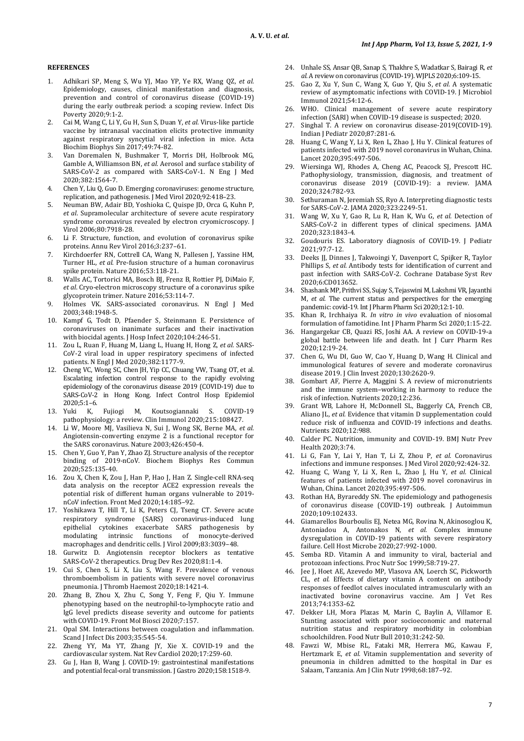## **REFERENCES**

- 1. Adhikari SP, Meng S, Wu YJ, Mao YP, Ye RX, Wang QZ, *et al.* Epidemiology, causes, clinical manifestation and diagnosis, prevention and control of coronavirus disease (COVID-19) during the early outbreak period: a scoping review. Infect Dis Poverty 2020;9:1-2.
- 2. Cai M, Wang C, Li Y, Gu H, Sun S, Duan Y, *et al.* Virus-like particle vaccine by intranasal vaccination elicits protective immunity against respiratory syncytial viral infection in mice. Acta Biochim Biophys Sin 2017;49:74-82.
- 3. Van Doremalen N, Bushmaker T, Morris DH, Holbrook MG, Gamble A, Williamson BN, *et al.* Aerosol and surface stability of SARS-CoV-2 as compared with SARS-CoV-1. N Eng J Med 2020;382:1564-7.
- 4. Chen Y, Liu Q, Guo D. Emerging coronaviruses: genome structure, replication, and pathogenesis. J Med Virol 2020;92:418–23.
- 5. Neuman BW, Adair BD, Yoshioka C, Quispe JD, Orca G, Kuhn P, *et al*. Supramolecular architecture of severe acute respiratory syndrome coronavirus revealed by electron cryomicroscopy. J Virol 2006;80:7918-28.
- 6. Li F. Structure, function, and evolution of coronavirus spike proteins. Annu Rev Virol 2016;3:237–61.
- 7. Kirchdoerfer RN, Cottrell CA, Wang N, Pallesen J, Yassine HM, Turner HL, *et al*. Pre-fusion structure of a human coronavirus spike protein. Nature 2016;53:118-21.
- 8. Walls AC, Tortorici MA, Bosch BJ, Frenz B, Rottier PJ, DiMaio F, *et al*. Cryo-electron microscopy structure of a coronavirus spike glycoprotein trimer. Nature 2016;53:114-7.
- 9. Holmes VK. SARS-associated coronavirus. N Engl J Med 2003;348:1948-5.
- 10. Kampf G, Todt D, Pfaender S, Steinmann E. Persistence of coronaviruses on inanimate surfaces and their inactivation with biocidal agents. J Hosp Infect 2020;104:246-51.
- 11. Zou L, Ruan F, Huang M, Liang L, Huang H, Hong Z, *et al.* SARS-CoV-2 viral load in upper respiratory specimens of infected patients. N Engl J Med 2020;382:1177-9.
- 12. Cheng VC, Wong SC, Chen JH, Yip CC, Chuang VW, Tsang OT, et al. Escalating infection control response to the rapidly evolving epidemiology of the coronavirus disease 2019 (COVID-19) due to SARS-CoV-2 in Hong Kong. [Infect Control Hosp Epidemiol](https://www.ncbi.nlm.nih.gov/pmc/articles/PMC7137535/) 2020;5:1-6.<br>13. Yuki K.
- Fujiogi M, Koutsogiannaki S. COVID-19 pathophysiology: a review. Clin Immunol 2020;215:108427.
- 14. Li W, Moore MJ, Vasilieva N, Sui J, Wong SK, Berne MA, *et al*. Angiotensin-converting enzyme 2 is a functional receptor for the SARS coronavirus. Nature 2003;426:450-4.
- 15. Chen Y, Guo Y, Pan Y, Zhao ZJ. Structure analysis of the receptor binding of 2019-nCoV. Biochem Biophys Res Commun 2020;525:135-40.
- 16. Zou X, Chen K, Zou J, Han P, Hao J, Han Z. Single-cell RNA-seq data analysis on the receptor ACE2 expression reveals the potential risk of different human organs vulnerable to 2019 nCoV infection. Front Med 2020;14:185–92.
- 17. Yoshikawa T, Hill T, Li K, Peters CJ, Tseng CT. Severe acute respiratory syndrome (SARS) coronavirus-induced lung epithelial cytokines exacerbate SARS pathogenesis by modulating intrinsic functions of macrophages and dendritic cells. J Virol 2009;83:3039–48.
- 18. Gurwitz D. Angiotensin receptor blockers as tentative SARS-CoV-2 therapeutics. Drug Dev Res 2020;81:1-4.
- 19. Cui S, Chen S, Li X, Liu S, Wang F. Prevalence of venous thromboembolism in patients with severe novel coronavirus pneumonia. J Thromb Haemost 2020;18:1421-4.
- 20. Zhang B, Zhou X, Zhu C, Song Y, Feng F, Qiu Y. Immune phenotyping based on the neutrophil-to-lymphocyte ratio and IgG level predicts disease severity and outcome for patients with COVID-19[. Front Mol Biosci](https://www.ncbi.nlm.nih.gov/pmc/articles/PMC7350507/) 2020;7:157.
- 21. Opal SM. Interactions between coagulation and inflammation. Scand J Infect Dis 2003;35:545-54.
- 22. Zheng YY, Ma YT, Zhang JY, Xie X. COVID-19 and the cardiovascular system. Nat Rev Cardiol 2020;17:259-60.
- 23. Gu J, Han B, Wang J. COVID-19: gastrointestinal manifestations and potential fecal-oral transmission. J Gastro 2020;158:1518-9.
- 24. Unhale SS, Ansar QB, Sanap S, Thakhre S, Wadatkar S, Bairagi R, *et al.* A review on coronavirus (COVID-19). WJPLS 2020;6:109-15.
- 25. Gao Z, Xu Y, Sun C, Wang X, Guo Y, Qiu S, *et al.* A systematic review of asymptomatic infections with COVID-19. J Microbiol Immunol 2021;54:12-6.
- 26. WHO. Clinical management of severe acute respiratory infection (SARI) when COVID-19 disease is suspected; 2020.
- Singhal T. A review on coronavirus disease-2019(COVID-19). Indian J Pediatr 2020;87:281-6.
- 28. Huang C, Wang Y, Li X, Ren L, Zhao J, Hu Y. Clinical features of patients infected with 2019 novel coronavirus in Wuhan, China. Lancet 2020;395:497-506.
- 29. Wiersinga WJ, Rhodes A, Cheng AC, Peacock SJ, Prescott HC. Pathophysiology, transmission, diagnosis, and treatment of coronavirus disease 2019 (COVID-19): a review. JAMA 2020;324:782-93.
- 30. Sethuraman N, Jeremiah SS, Ryo A. Interpreting diagnostic tests for SARS-CoV-2. JAMA 2020;323:2249-51.
- 31. Wang W, Xu Y, Gao R, Lu R, Han K, Wu G, *et al.* Detection of SARS-CoV-2 in different types of clinical specimens. JAMA 2020;323:1843-4.
- 32. Goudouris ES. Laboratory diagnosis of COVID-19. J Pediatr 2021;97:7-12.
- 33. Deeks JJ, Dinnes J, Takwoingi Y, Davenport C, Spijker R, Taylor Phillips S, *et al.* Antibody tests for identification of current and past infection with SARS-CoV-2. Cochrane Database Syst Rev 2020;6:CD013652.
- 34. Shashank MP, Prithvi SS, Sujay S, Tejaswini M, Lakshmi VR, Jayanthi M, *et al.* The current status and perspectives for the emerging pandemic: covid-19. Int J Pharm Pharm Sci 2020;12:1-10.
- 35. Khan R, Irchhaiya R. *In vitro in vivo* evaluation of niosomal formulation of famotidine. Int J Pharm Pharm Sci 2020;1:15-22.
- 36. Hangargekar CB, Quazi RS, Joshi AA. A review on COVID-19-a global battle between life and death. Int J Curr Pharm Res 2020;12:19-24.
- 37. Chen G, Wu DI, Guo W, Cao Y, Huang D, Wang H. Clinical and immunological features of severe and moderate coronavirus disease 2019. J Clin Invest 2020;130:2620-9.
- 38. Gombart AF, Pierre A, Maggini S. A review of micronutrients and the immune system–working in harmony to reduce the risk of infection. Nutrients 2020;12:236.
- 39. Grant WB, Lahore H, McDonnell SL, Baggerly CA, French CB, Aliano JL, *et al.* Evidence that vitamin D supplementation could reduce risk of influenza and COVID-19 infections and deaths. Nutrients 2020;12:988.
- 40. Calder PC. Nutrition, immunity and COVID-19. BMJ Nutr Prev Health 2020;3:74.
- 41. Li G, Fan Y, Lai Y, Han T, Li Z, Zhou P, *et al.* Coronavirus infections and immune responses. J Med Virol 2020;92:424-32.
- 42. Huang C, Wang Y, Li X, Ren L, Zhao J, Hu Y, *et al.* Clinical features of patients infected with 2019 novel coronavirus in Wuhan, China. Lancet 2020;395:497-506.
- 43. Rothan HA, Byrareddy SN. The epidemiology and pathogenesis of coronavirus disease (COVID-19) outbreak. J Autoimmun 2020;109:102433.
- 44. Giamarellos Bourboulis EJ, Netea MG, Rovina N, Akinosoglou K, Antoniadou A, Antonakos N, *et al.* Complex immune dysregulation in COVID-19 patients with severe respiratory failure. Cell Host Microbe 2020;27:992-1000.
- 45. Semba RD. Vitamin A and immunity to viral, bacterial and protozoan infections. Proc Nutr Soc 1999;58:719-27.
- 46. Jee J, Hoet AE, Azevedo MP, Vlasova AN, Loerch SC, Pickworth CL, *et al.* Effects of dietary vitamin A content on antibody responses of feedlot calves inoculated intramuscularly with an inactivated bovine coronavirus vaccine. Am J Vet Res 2013;74:1353-62.
- 47. Dekker LH, Mora Plazas M, Marin C, Baylin A, Villamor E. Stunting associated with poor socioeconomic and maternal nutrition status and respiratory morbidity in colombian schoolchildren. Food Nutr Bull 2010;31:242-50.
- 48. Fawzi W, Mbise RL, Fataki MR, Herrera MG, Kawau F, Hertzmark E, *et al.* Vitamin supplementation and severity of pneumonia in children admitted to the hospital in Dar es Salaam, Tanzania. Am J Clin Nutr 1998;68:187–92.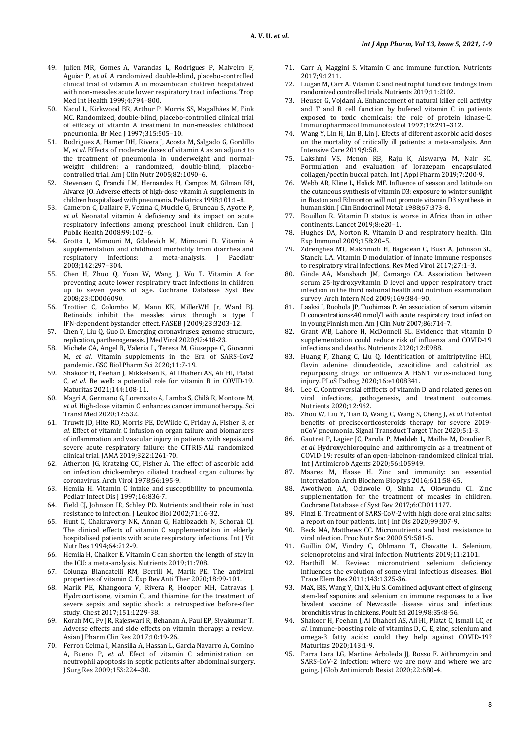- 49. Julien MR, Gomes A, Varandas L, Rodrigues P, Malveiro F, Aguiar P, *et al.* A randomized double-blind, placebo-controlled clinical trial of vitamin A in mozambican children hospitalized with non-measles acute lower respiratory tract infections. Trop Med Int Health 1999;4:794–800.
- 50. Nacul L, Kirkwood BR, Arthur P, Morris SS, Magalhães M, Fink MC. Randomized, double-blind, placebo-controlled clinical trial of efficacy of vitamin A treatment in non-measles childhood pneumonia. Br Med J 1997;315:505-10.
- 51. Rodriguez A, Hamer DH, Rivera J, Acosta M, Salgado G, Gordillo M, *et al.* Effects of moderate doses of vitamin A as an adjunct to the treatment of pneumonia in underweight and normalweight children: a randomized, double-blind, placebocontrolled trial. Am J Clin Nutr 2005;82:1090–6.
- 52. Stevensen C, Franchi LM, Hernandez H, Campos M, Gilman RH, Alvarez JO. Adverse effects of high-dose vitamin A supplements in children hospitalized with pneumonia. Pediatrics 1998;101:1–8.
- 53. Cameron C, Dallaire F, Vezina C, Muckle G, Bruneau S, Ayotte P, *et al.* Neonatal vitamin A deficiency and its impact on acute respiratory infections among preschool Inuit children. Can J Public Health 2008;99:102–6.
- 54. Grotto I, Mimouni M, Gdalevich M, Mimouni D. Vitamin A supplementation and childhood morbidity from diarrhea and respiratory infections: a meta-analysis. J Paediatr 2003;142:297–304.
- 55. Chen H, Zhuo Q, Yuan W, Wang J, Wu T. Vitamin A for preventing acute lower respiratory tract infections in children up to seven years of age. Cochrane Database Syst Rev 2008;23:CD006090.
- 56. Trottier C, Colombo M, Mann KK, MillerWH Jr, Ward BJ. Retinoids inhibit the measles virus through a type I IFN-dependent bystander effect. FASEB J 2009;23:3203-12.
- 57. Chen Y, Liu Q, Guo D. Emerging coronaviruses: genome structure, replication, parthenogenesis. J Med Virol 2020;92:418-23.
- 58. Michele CA, Angel B, Valeria L, Teresa M, Giuseppe C, Giovanni M, *et al.* Vitamin supplements in the Era of SARS-Cov2 pandemic. GSC Biol Pharm Sci 2020;11:7-19.
- 59. Shakoor H, Feehan J, Mikkelsen K, Al Dhaheri AS, Ali HI, Platat C, *et al.* Be well: a potential role for vitamin B in COVID-19. Maturitas 2021;144:108-11.
- 60. Magrì A, Germano G, Lorenzato A, Lamba S, Chilà R, Montone M, *et al.* High-dose vitamin C enhances cancer immunotherapy. Sci Transl Med 2020;12:532.
- 61. Truwit JD, Hite RD, Morris PE, DeWilde C, Priday A, Fisher B, *et al.* Effect of vitamin C infusion on organ failure and biomarkers of inflammation and vascular injury in patients with sepsis and severe acute respiratory failure: the CITRIS-ALI randomized clinical trial. JAMA 2019;322:1261-70.
- 62. Atherton JG, Kratzing CC, Fisher A. The effect of ascorbic acid on infection chick-embryo ciliated tracheal organ cultures by coronavirus. Arch Virol 1978;56:195-9.
- 63. Hemila H. Vitamin C intake and susceptibility to pneumonia. Pediatr Infect Dis J 1997;16:836-7.
- 64. Field CJ, Johnson IR, Schley PD. Nutrients and their role in host resistance to infection. J Leukoc Biol 2002;71:16-32.
- 65. Hunt C, Chakravorty NK, Annan G, Habibzadeh N, Schorah CJ. The clinical effects of vitamin C supplementation in elderly hospitalised patients with acute respiratory infections. Int J Vit Nutr Res 1994;64:212-9.
- 66. Hemila H, Chalker E. Vitamin C can shorten the length of stay in the ICU: a meta-analysis. Nutrients 2019;11:708.
- 67. Colunga Biancatelli RM, Berrill M, Marik PE. The antiviral properties of vitamin C. Exp Rev Anti Ther 2020;18:99-101.
- Marik PE, Khangoora V, Rivera R, Hooper MH, Catravas J. Hydrocortisone, vitamin C, and thiamine for the treatment of severe sepsis and septic shock: a retrospective before-after study. Chest 2017;151:1229-38.
- 69. Korah MC, Pv JR, Rajeswari R, Behanan A, Paul EP, Sivakumar T. Adverse effects and side effects on vitamin therapy: a review. Asian J Pharm Clin Res 2017;10:19-26.
- 70. Ferron Celma I, Mansilla A, Hassan L, Garcia Navarro A, Comino A, Bueno P, *et al.* Efect of vitamin C administration on neutrophil apoptosis in septic patients after abdominal surgery. J Surg Res 2009;153:224–30.
- 71. Carr A, Maggini S. Vitamin C and immune function. Nutrients 2017;9:1211.
- 72. Liugan M, Carr A. Vitamin C and neutrophil function: findings from randomized controlled trials. Nutrients 2019;11:2102.
- 73. Heuser G, Vojdani A. Enhancement of natural killer cell activity and T and B cell function by bufered vitamin C in patients exposed to toxic chemicals: the role of protein kinase-C. Immunopharmacol Immunotoxicol 1997;19:291–312.
- 74. Wang Y, Lin H, Lin B, Lin J. Efects of diferent ascorbic acid doses on the mortality of critically ill patients: a meta-analysis. Ann Intensive Care 2019;9:58.
- 75. Lakshmi VS, Menon RB, Raju K, Aiswarya M, Nair SC. Formulation and evaluation of lorazepam encapsulated collagen/pectin buccal patch. Int J Appl Pharm 2019;7:200-9.
- 76. Webb AR, Kline L, Holick MF. Influence of season and latitude on the cutaneous synthesis of vitamin D3: exposure to winter sunlight in Boston and Edmonton will not promote vitamin D3 synthesis in human skin. J Clin Endocrinol Metab 1988;67:373–8.
- 77. Bouillon R. Vitamin D status is worse in Africa than in other continents. Lancet 2019;8:e20–1.
- 78. Hughes DA, Norton R. Vitamin D and respiratory health. Clin Exp Immunol 2009;158:20–5.
- 79. Zdrenghea MT, Makrinioti H, Bagacean C, Bush A, Johnson SL, Stanciu LA. Vitamin D modulation of innate immune responses to respiratory viral infections. Rev Med Virol 2017;27:1–3.
- Ginde AA, Mansbach JM, Camargo CA. Association between serum 25-hydroxyvitamin D level and upper respiratory tract infection in the third national health and nutrition examination survey. Arch Intern Med 2009;169:384–90.
- 81. Laaksi I, Ruohola JP, Tuohimaa P. An association of serum vitamin D concentrations<40 nmol/l with acute respiratory tract infection in young Finnish men. Am J Clin Nutr 2007;86:714–7.
- 82. Grant WB, Lahore H, McDonnell SL*.* Evidence that vitamin D supplementation could reduce risk of influenza and COVID-19 infections and deaths. Nutrients 2020;12:E988.
- 83. Huang F, Zhang C, Liu Q*.* Identification of amitriptyline HCl, flavin adenine dinucleotide, azacitidine and calcitriol as repurposing drugs for influenza A H5N1 virus-induced lung injury. PLoS Pathog 2020;16:e1008341.
- 84. Lee C. Controversial effffects of vitamin D and related genes on viral infections, pathogenesis, and treatment outcomes. Nutrients 2020;12:962.
- 85. Zhou W, Liu Y, Tian D, Wang C, Wang S, Cheng J, *et al.* Potential benefits of precisecorticosteroids therapy for severe 2019 nCoV pneumonia. Signal Transduct Target Ther 2020;5:1-3.
- 86. Gautret P, Lagier JC, Parola P, Meddeb L, Mailhe M, Doudier B, *et al.* Hydroxychloroquine and azithromycin as a treatment of COVID-19: results of an open-labelnon-randomized clinical trial. Int J Antimicrob Agents 2020;56:105949.
- 87. Maares M, Haase H. Zinc and immunity: an essential interrelation. Arch Biochem Biophys 2016;611:58-65.
- 88. Awotiwon AA, Oduwole O, Sinha A, Okwundu CI. Zinc supplementation for the treatment of measles in children. Cochrane Database of Syst Rev 2017;6:CD011177.
- 89. Finzi E. Treatment of SARS-CoV-2 with high dose oral zinc salts: a report on four patients. Int J Inf Dis 2020;99:307-9.
- 90. Beck MA, Matthews CC. Micronutrients and host resistance to viral nfection. Proc Nutr Soc 2000;59:581-5.
- 91. Guillin OM, Vindry C, Ohlmann T, Chavatte L. Selenium, selenoproteins and viral infection. Nutrients 2019;11:2101.
- 92. Harthill M. Review: micronutrient selenium deficiency influences the evolution of some viral infectious diseases. Biol Trace Elem Res 2011;143:1325-36.
- MaX, BiS, Wang Y, Chi X, Hu S. Combined adjuvant effect of ginseng stem-leaf saponins and selenium on immune responses to a live bivalent vaccine of Newcastle disease virus and infectious bronchitis virus in chickens. Poult Sci 2019;98:3548-56.
- 94. Shakoor H, Feehan J, Al Dhaheri AS, Ali HI, Platat C, Ismail LC, *et al.* Immune-boosting role of vitamins D, C, E, zinc, selenium and omega-3 fatty acids: could they help against COVID-19? Maturitas 2020;143:1-9.
- 95. Parra Lara LG, Martine Arboleda JJ, Rosso F. Aithromycin and SARS-CoV-2 infection: where we are now and where we are going. J Glob Antimicrob Resist 2020;22:680-4.